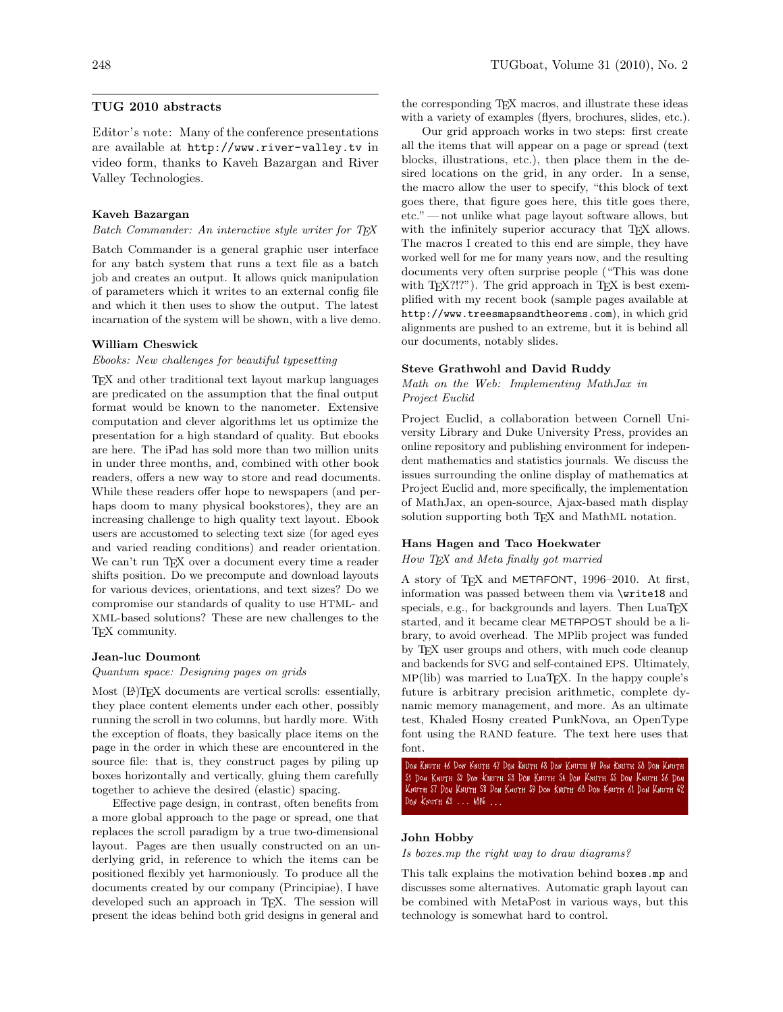# TUG 2010 abstracts

Editor's note: Many of the conference presentations are available at <http://www.river-valley.tv> in video form, thanks to Kaveh Bazargan and River Valley Technologies.

#### Kaveh Bazargan

Batch Commander: An interactive style writer for TFX

Batch Commander is a general graphic user interface for any batch system that runs a text file as a batch job and creates an output. It allows quick manipulation of parameters which it writes to an external config file and which it then uses to show the output. The latest incarnation of the system will be shown, with a live demo.

## William Cheswick

## Ebooks: New challenges for beautiful typesetting

TEX and other traditional text layout markup languages are predicated on the assumption that the final output format would be known to the nanometer. Extensive computation and clever algorithms let us optimize the presentation for a high standard of quality. But ebooks are here. The iPad has sold more than two million units in under three months, and, combined with other book readers, offers a new way to store and read documents. While these readers offer hope to newspapers (and perhaps doom to many physical bookstores), they are an increasing challenge to high quality text layout. Ebook users are accustomed to selecting text size (for aged eyes and varied reading conditions) and reader orientation. We can't run TEX over a document every time a reader shifts position. Do we precompute and download layouts for various devices, orientations, and text sizes? Do we compromise our standards of quality to use HTML- and XML-based solutions? These are new challenges to the TEX community.

#### Jean-luc Doumont

Quantum space: Designing pages on grids

Most ( $\Delta$ )T<sub>F</sub>X documents are vertical scrolls: essentially, they place content elements under each other, possibly running the scroll in two columns, but hardly more. With the exception of floats, they basically place items on the page in the order in which these are encountered in the source file: that is, they construct pages by piling up boxes horizontally and vertically, gluing them carefully together to achieve the desired (elastic) spacing.

Effective page design, in contrast, often benefits from a more global approach to the page or spread, one that replaces the scroll paradigm by a true two-dimensional layout. Pages are then usually constructed on an underlying grid, in reference to which the items can be positioned flexibly yet harmoniously. To produce all the documents created by our company (Principiae), I have developed such an approach in T<sub>E</sub>X. The session will present the ideas behind both grid designs in general and

the corresponding TEX macros, and illustrate these ideas with a variety of examples (flyers, brochures, slides, etc.).

Our grid approach works in two steps: first create all the items that will appear on a page or spread (text blocks, illustrations, etc.), then place them in the desired locations on the grid, in any order. In a sense, the macro allow the user to specify, "this block of text goes there, that figure goes here, this title goes there, etc." — not unlike what page layout software allows, but with the infinitely superior accuracy that TFX allows. The macros I created to this end are simple, they have worked well for me for many years now, and the resulting documents very often surprise people ("This was done with  $T_{E}X$ ?!?"). The grid approach in  $T_{E}X$  is best exemplified with my recent book (sample pages available at <http://www.treesmapsandtheorems.com>), in which grid alignments are pushed to an extreme, but it is behind all our documents, notably slides.

# Steve Grathwohl and David Ruddy

Math on the Web: Implementing MathJax in Project Euclid

Project Euclid, a collaboration between Cornell University Library and Duke University Press, provides an online repository and publishing environment for independent mathematics and statistics journals. We discuss the issues surrounding the online display of mathematics at Project Euclid and, more specifically, the implementation of MathJax, an open-source, Ajax-based math display solution supporting both T<sub>EX</sub> and MathML notation.

# Hans Hagen and Taco Hoekwater **The ultimate test**

How TFX and Meta finally got married

A story of TEX and METAFONT, 1996–2010. At first, information was passed between them via \write18 and specials, e.g., for backgrounds and layers. Then  $\text{LuaT}\text{E}\text{X}$ started, and it became clear METAPOST should be a library, to avoid overhead. The MPlib project was funded by TEX user groups and others, with much code cleanup and backends for SVG and self-contained EPS. Ultimately, and Baanshap of b v C and Bon Contained II B Crimately,<br>MP(lib) was married to LuaT<sub>E</sub>X. In the happy couple's future is arbitrary precision arithmetic, complete dynamic memory management, and more. As an ultimate test, Khaled Hosny created PunkNova, an OpenType font using the RAND feature. The text here uses that font.  $\frac{\text{min}}{\text{min}}$  was matricu to mualify. In the happy couple s  $\frac{3}{2}$  Don Knuth 35 Don Knuth 37 Don Knuth 37 Don Knuth 38 Don Knuth 38 Don Knuth 39 Don Knuth 39 Don Knuth 39 Don Knuth 39 Don Knuth 39 Don Knuth 39 Don Knuth 39 Don Knuth 39 Don Knuth 39 Don Knuth 39 Don Knuth 39 Don knuth 41 Don Knuth 41 Don Knuth 42 Don Knuth 43 Don Knuth 43 Don Knuth 43 Don Knuth 43 Don Knuth 43 Don Knuth<br>Don Knuth 43 Don Knuth 43 Don Knuth 45 Don Knuth 45 Don Knuth 45 Don Knuth 45 Don Knuth 45 Don Knuth 45 Don Kn

Don Knuth 46 Don Knuth 47 Don Knuth 48 Don Knuth 49 Don Knuth 50 Don Knuth 51 Don Knuth 52 Don Knuth 53 Don Knuth 54 Don Knuth 55 Don Knuth 56 Don Knuth 57 Don Knuth 58 Don Knuth 59 Don Knuth 60 Don Knuth 61 Don Knuth 62 Don Knuth 63 . . . 4096 . . .

#### John Hobby

Is boxes.mp the right way to draw diagrams?

This talk explains the motivation behind boxes.mp and discusses some alternatives. Automatic graph layout can be combined with MetaPost in various ways, but this technology is somewhat hard to control.